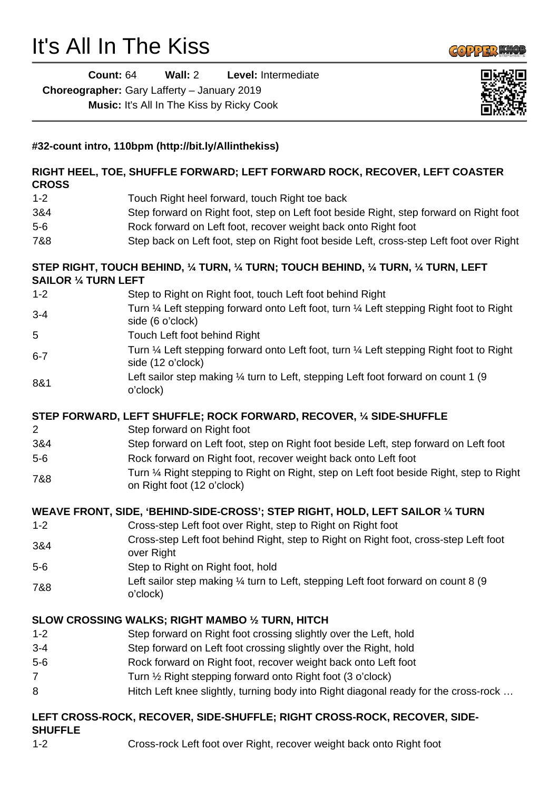# It's All In The Kiss



**Count:** 64 **Wall:** 2 **Level:** Intermediate **Choreographer:** Gary Lafferty – January 2019 **Music:** It's All In The Kiss by Ricky Cook



# **#32-count intro, 110bpm (http://bit.ly/Allinthekiss) RIGHT HEEL, TOE, SHUFFLE FORWARD; LEFT FORWARD ROCK, RECOVER, LEFT COASTER CROSS** 1-2 Touch Right heel forward, touch Right toe back 3&4 Step forward on Right foot, step on Left foot beside Right, step forward on Right foot 5-6 Rock forward on Left foot, recover weight back onto Right foot 7&8 Step back on Left foot, step on Right foot beside Left, cross-step Left foot over Right **STEP RIGHT, TOUCH BEHIND, ¼ TURN, ¼ TURN; TOUCH BEHIND, ¼ TURN, ¼ TURN, LEFT SAILOR ¼ TURN LEFT** 1-2 Step to Right on Right foot, touch Left foot behind Right 3-4 Turn 1/4 Left stepping forward onto Left foot, turn 1/4 Left stepping Right foot to Right side (6 o'clock) 5 Touch Left foot behind Right 6-7 Turn ¼ Left stepping forward onto Left foot, turn ¼ Left stepping Right foot to Right side (12 o'clock) 8&1 Left sailor step making 1/4 turn to Left, stepping Left foot forward on count 1 (9 o'clock) **STEP FORWARD, LEFT SHUFFLE; ROCK FORWARD, RECOVER, ¼ SIDE-SHUFFLE** 2 Step forward on Right foot 3&4 Step forward on Left foot, step on Right foot beside Left, step forward on Left foot 5-6 Rock forward on Right foot, recover weight back onto Left foot 7&8 Turn ¼ Right stepping to Right on Right, step on Left foot beside Right, step to Right on Right foot (12 o'clock) **WEAVE FRONT, SIDE, 'BEHIND-SIDE-CROSS'; STEP RIGHT, HOLD, LEFT SAILOR ¼ TURN** 1-2 Cross-step Left foot over Right, step to Right on Right foot 3&4 Cross-step Left foot behind Right, step to Right on Right foot, cross-step Left foot over Right 5-6 Step to Right on Right foot, hold 7&8 Left sailor step making ¼ turn to Left, stepping Left foot forward on count 8 (9 o'clock) **SLOW CROSSING WALKS; RIGHT MAMBO ½ TURN, HITCH** 1-2 Step forward on Right foot crossing slightly over the Left, hold 3-4 Step forward on Left foot crossing slightly over the Right, hold 5-6 Rock forward on Right foot, recover weight back onto Left foot 7 Turn ½ Right stepping forward onto Right foot (3 o'clock) 8 Hitch Left knee slightly, turning body into Right diagonal ready for the cross-rock ... **LEFT CROSS-ROCK, RECOVER, SIDE-SHUFFLE; RIGHT CROSS-ROCK, RECOVER, SIDE-SHUFFLE**

1-2 Cross-rock Left foot over Right, recover weight back onto Right foot